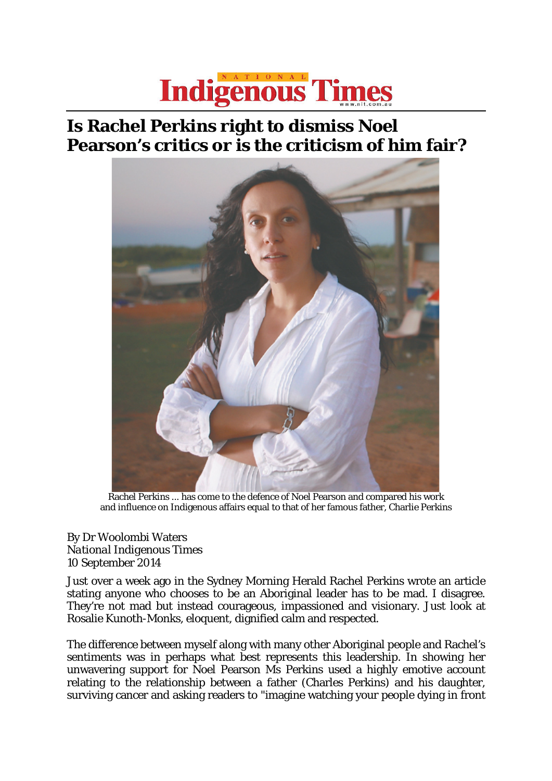## **Indigenous Times**

## **Is Rachel Perkins right to dismiss Noel Pearson's critics or is the criticism of him fair?**



Rachel Perkins ... has come to the defence of Noel Pearson and compared his work and influence on Indigenous affairs equal to that of her famous father, Charlie Perkins

## By Dr Woolombi Waters *National Indigenous Times* 10 September 2014

Just over a week ago in the Sydney Morning Herald Rachel Perkins wrote an article stating anyone who chooses to be an Aboriginal leader has to be mad. I disagree. They're not mad but instead courageous, impassioned and visionary. Just look at Rosalie Kunoth-Monks, eloquent, dignified calm and respected.

The difference between myself along with many other Aboriginal people and Rachel's sentiments was in perhaps what best represents this leadership. In showing her unwavering support for Noel Pearson Ms Perkins used a highly emotive account relating to the relationship between a father (Charles Perkins) and his daughter, surviving cancer and asking readers to "imagine watching your people dying in front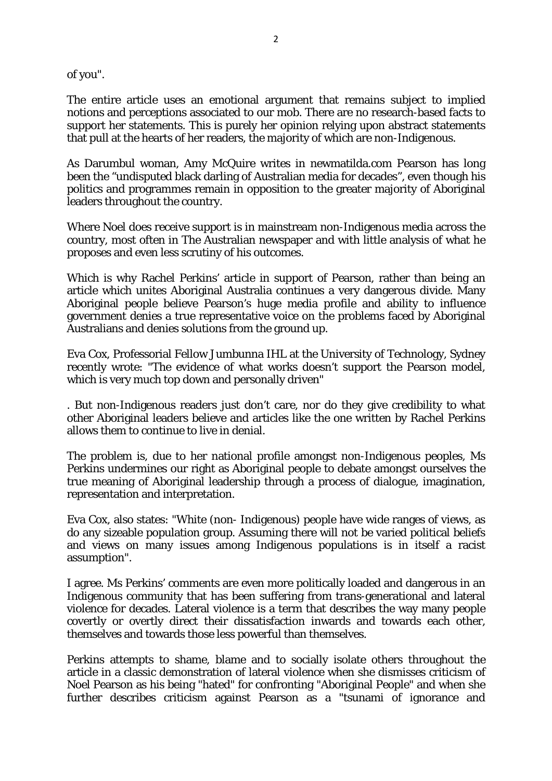of you".

The entire article uses an emotional argument that remains subject to implied notions and perceptions associated to our mob. There are no research-based facts to support her statements. This is purely her opinion relying upon abstract statements that pull at the hearts of her readers, the majority of which are non-Indigenous.

As Darumbul woman, Amy McQuire writes in newmatilda.com Pearson has long been the "undisputed black darling of Australian media for decades", even though his politics and programmes remain in opposition to the greater majority of Aboriginal leaders throughout the country.

Where Noel does receive support is in mainstream non-Indigenous media across the country, most often in The Australian newspaper and with little analysis of what he proposes and even less scrutiny of his outcomes.

Which is why Rachel Perkins' article in support of Pearson, rather than being an article which unites Aboriginal Australia continues a very dangerous divide. Many Aboriginal people believe Pearson's huge media profile and ability to influence government denies a true representative voice on the problems faced by Aboriginal Australians and denies solutions from the ground up.

Eva Cox, Professorial Fellow Jumbunna IHL at the University of Technology, Sydney recently wrote: "The evidence of what works doesn't support the Pearson model, which is very much top down and personally driven"

. But non-Indigenous readers just don't care, nor do they give credibility to what other Aboriginal leaders believe and articles like the one written by Rachel Perkins allows them to continue to live in denial.

The problem is, due to her national profile amongst non-Indigenous peoples, Ms Perkins undermines our right as Aboriginal people to debate amongst ourselves the true meaning of Aboriginal leadership through a process of dialogue, imagination, representation and interpretation.

Eva Cox, also states: "White (non- Indigenous) people have wide ranges of views, as do any sizeable population group. Assuming there will not be varied political beliefs and views on many issues among Indigenous populations is in itself a racist assumption".

I agree. Ms Perkins' comments are even more politically loaded and dangerous in an Indigenous community that has been suffering from trans-generational and lateral violence for decades. Lateral violence is a term that describes the way many people covertly or overtly direct their dissatisfaction inwards and towards each other, themselves and towards those less powerful than themselves.

Perkins attempts to shame, blame and to socially isolate others throughout the article in a classic demonstration of lateral violence when she dismisses criticism of Noel Pearson as his being "hated" for confronting "Aboriginal People" and when she further describes criticism against Pearson as a "tsunami of ignorance and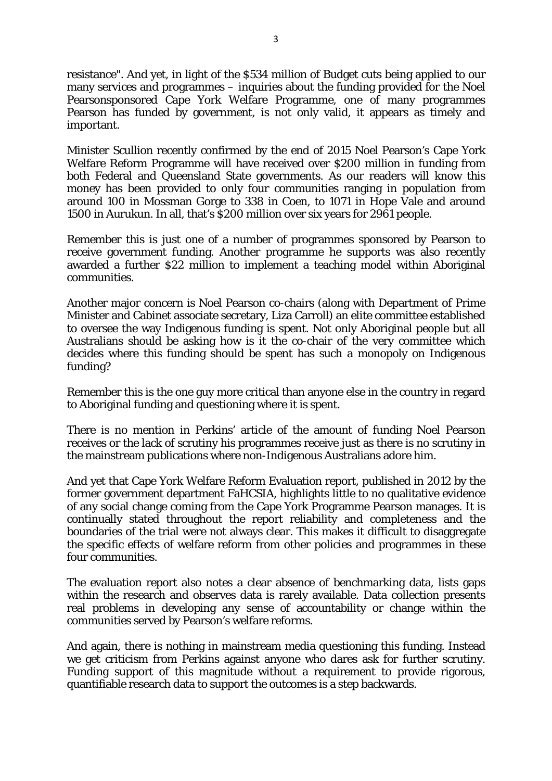resistance". And yet, in light of the \$534 million of Budget cuts being applied to our many services and programmes – inquiries about the funding provided for the Noel Pearsonsponsored Cape York Welfare Programme, one of many programmes Pearson has funded by government, is not only valid, it appears as timely and important.

Minister Scullion recently confirmed by the end of 2015 Noel Pearson's Cape York Welfare Reform Programme will have received over \$200 million in funding from both Federal and Queensland State governments. As our readers will know this money has been provided to only four communities ranging in population from around 100 in Mossman Gorge to 338 in Coen, to 1071 in Hope Vale and around 1500 in Aurukun. In all, that's \$200 million over six years for 2961 people.

Remember this is just one of a number of programmes sponsored by Pearson to receive government funding. Another programme he supports was also recently awarded a further \$22 million to implement a teaching model within Aboriginal communities.

Another major concern is Noel Pearson co-chairs (along with Department of Prime Minister and Cabinet associate secretary, Liza Carroll) an elite committee established to oversee the way Indigenous funding is spent. Not only Aboriginal people but all Australians should be asking how is it the co-chair of the very committee which decides where this funding should be spent has such a monopoly on Indigenous funding?

Remember this is the one guy more critical than anyone else in the country in regard to Aboriginal funding and questioning where it is spent.

There is no mention in Perkins' article of the amount of funding Noel Pearson receives or the lack of scrutiny his programmes receive just as there is no scrutiny in the mainstream publications where non-Indigenous Australians adore him.

And yet that Cape York Welfare Reform Evaluation report, published in 2012 by the former government department FaHCSIA, highlights little to no qualitative evidence of any social change coming from the Cape York Programme Pearson manages. It is continually stated throughout the report reliability and completeness and the boundaries of the trial were not always clear. This makes it difficult to disaggregate the specific effects of welfare reform from other policies and programmes in these four communities.

The evaluation report also notes a clear absence of benchmarking data, lists gaps within the research and observes data is rarely available. Data collection presents real problems in developing any sense of accountability or change within the communities served by Pearson's welfare reforms.

And again, there is nothing in mainstream media questioning this funding. Instead we get criticism from Perkins against anyone who dares ask for further scrutiny. Funding support of this magnitude without a requirement to provide rigorous, quantifiable research data to support the outcomes is a step backwards.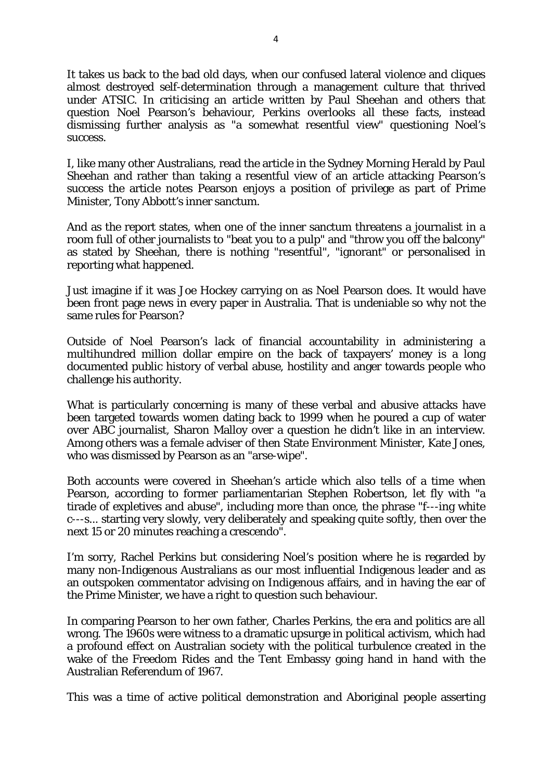It takes us back to the bad old days, when our confused lateral violence and cliques almost destroyed self-determination through a management culture that thrived under ATSIC. In criticising an article written by Paul Sheehan and others that question Noel Pearson's behaviour, Perkins overlooks all these facts, instead dismissing further analysis as "a somewhat resentful view" questioning Noel's success.

I, like many other Australians, read the article in the Sydney Morning Herald by Paul Sheehan and rather than taking a resentful view of an article attacking Pearson's success the article notes Pearson enjoys a position of privilege as part of Prime Minister, Tony Abbott's inner sanctum.

And as the report states, when one of the inner sanctum threatens a journalist in a room full of other journalists to "beat you to a pulp" and "throw you off the balcony" as stated by Sheehan, there is nothing "resentful", "ignorant" or personalised in reporting what happened.

Just imagine if it was Joe Hockey carrying on as Noel Pearson does. It would have been front page news in every paper in Australia. That is undeniable so why not the same rules for Pearson?

Outside of Noel Pearson's lack of financial accountability in administering a multihundred million dollar empire on the back of taxpayers' money is a long documented public history of verbal abuse, hostility and anger towards people who challenge his authority.

What is particularly concerning is many of these verbal and abusive attacks have been targeted towards women dating back to 1999 when he poured a cup of water over ABC journalist, Sharon Malloy over a question he didn't like in an interview. Among others was a female adviser of then State Environment Minister, Kate Jones, who was dismissed by Pearson as an "arse-wipe".

Both accounts were covered in Sheehan's article which also tells of a time when Pearson, according to former parliamentarian Stephen Robertson, let fly with "a tirade of expletives and abuse", including more than once, the phrase "f---ing white c---s... starting very slowly, very deliberately and speaking quite softly, then over the next 15 or 20 minutes reaching a crescendo".

I'm sorry, Rachel Perkins but considering Noel's position where he is regarded by many non-Indigenous Australians as our most influential Indigenous leader and as an outspoken commentator advising on Indigenous affairs, and in having the ear of the Prime Minister, we have a right to question such behaviour.

In comparing Pearson to her own father, Charles Perkins, the era and politics are all wrong. The 1960s were witness to a dramatic upsurge in political activism, which had a profound effect on Australian society with the political turbulence created in the wake of the Freedom Rides and the Tent Embassy going hand in hand with the Australian Referendum of 1967.

This was a time of active political demonstration and Aboriginal people asserting